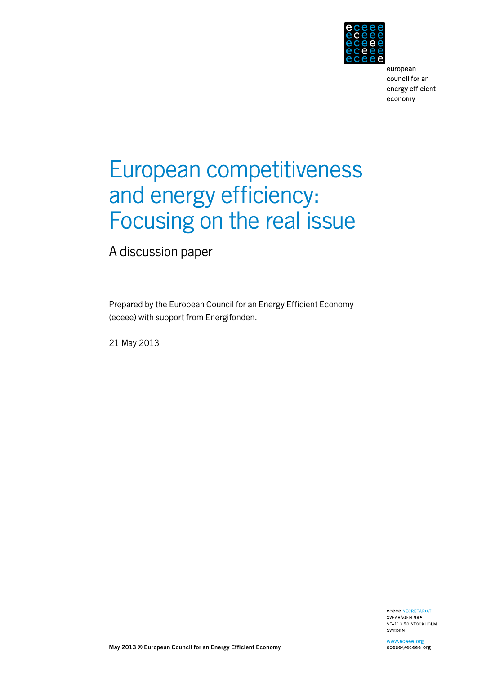

# European competitiveness and energy efficiency: Focusing on the real issue

A discussion paper

Prepared by the European Council for an Energy Efficient Economy (eceee) with support from Energifonden.

21 May 2013

eceee SECRETARIAT SVEAVÄGEN 98<sup>IV</sup> SE-113 50 STOCKHOLM SWEDEN

**May 2013 © European Council for an Energy Efficient Economy**

www.eceee.org eceee@eceee.org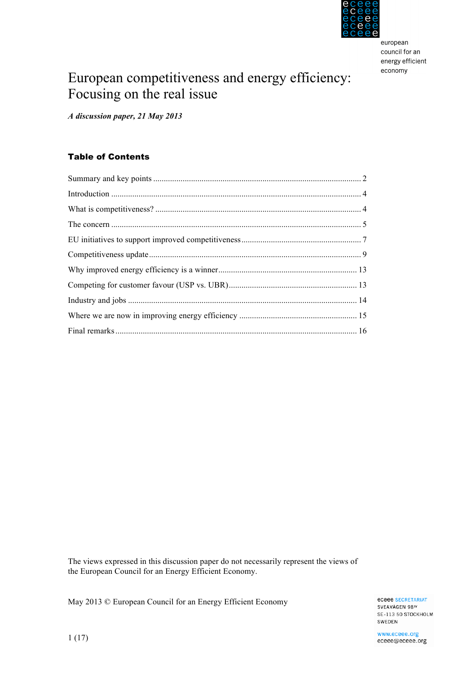

## European competitiveness and energy efficiency: Focusing on the real issue

*A discussion paper, 21 May 2013*

## Table of Contents

The views expressed in this discussion paper do not necessarily represent the views of the European Council for an Energy Efficient Economy.

May 2013 © European Council for an Energy Efficient Economy

**eceee SECRETARIAT** SVEAVÄGEN 98<sup>IV</sup> SE-113 50 STOCKHOLM SWEDEN

www.eceee.org eceee@eceee.org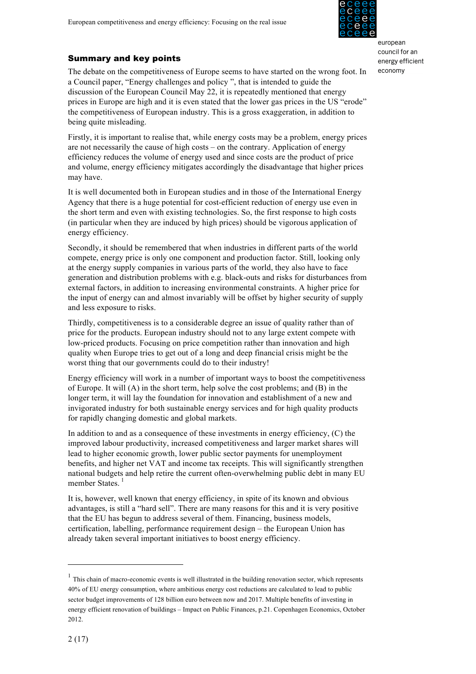

## Summary and key points

The debate on the competitiveness of Europe seems to have started on the wrong foot. In a Council paper, "Energy challenges and policy ", that is intended to guide the discussion of the European Council May 22, it is repeatedly mentioned that energy prices in Europe are high and it is even stated that the lower gas prices in the US "erode" the competitiveness of European industry. This is a gross exaggeration, in addition to being quite misleading.

Firstly, it is important to realise that, while energy costs may be a problem, energy prices are not necessarily the cause of high costs – on the contrary. Application of energy efficiency reduces the volume of energy used and since costs are the product of price and volume, energy efficiency mitigates accordingly the disadvantage that higher prices may have.

It is well documented both in European studies and in those of the International Energy Agency that there is a huge potential for cost-efficient reduction of energy use even in the short term and even with existing technologies. So, the first response to high costs (in particular when they are induced by high prices) should be vigorous application of energy efficiency.

Secondly, it should be remembered that when industries in different parts of the world compete, energy price is only one component and production factor. Still, looking only at the energy supply companies in various parts of the world, they also have to face generation and distribution problems with e.g. black-outs and risks for disturbances from external factors, in addition to increasing environmental constraints. A higher price for the input of energy can and almost invariably will be offset by higher security of supply and less exposure to risks.

Thirdly, competitiveness is to a considerable degree an issue of quality rather than of price for the products. European industry should not to any large extent compete with low-priced products. Focusing on price competition rather than innovation and high quality when Europe tries to get out of a long and deep financial crisis might be the worst thing that our governments could do to their industry!

Energy efficiency will work in a number of important ways to boost the competitiveness of Europe. It will (A) in the short term, help solve the cost problems; and (B) in the longer term, it will lay the foundation for innovation and establishment of a new and invigorated industry for both sustainable energy services and for high quality products for rapidly changing domestic and global markets.

In addition to and as a consequence of these investments in energy efficiency, (C) the improved labour productivity, increased competitiveness and larger market shares will lead to higher economic growth, lower public sector payments for unemployment benefits, and higher net VAT and income tax receipts. This will significantly strengthen national budgets and help retire the current often-overwhelming public debt in many EU member States.<sup>1</sup>

It is, however, well known that energy efficiency, in spite of its known and obvious advantages, is still a "hard sell". There are many reasons for this and it is very positive that the EU has begun to address several of them. Financing, business models, certification, labelling, performance requirement design – the European Union has already taken several important initiatives to boost energy efficiency.

 $<sup>1</sup>$  This chain of macro-economic events is well illustrated in the building renovation sector, which represents</sup> 40% of EU energy consumption, where ambitious energy cost reductions are calculated to lead to public sector budget improvements of 128 billion euro between now and 2017. Multiple benefits of investing in energy efficient renovation of buildings – Impact on Public Finances, p.21. Copenhagen Economics, October 2012.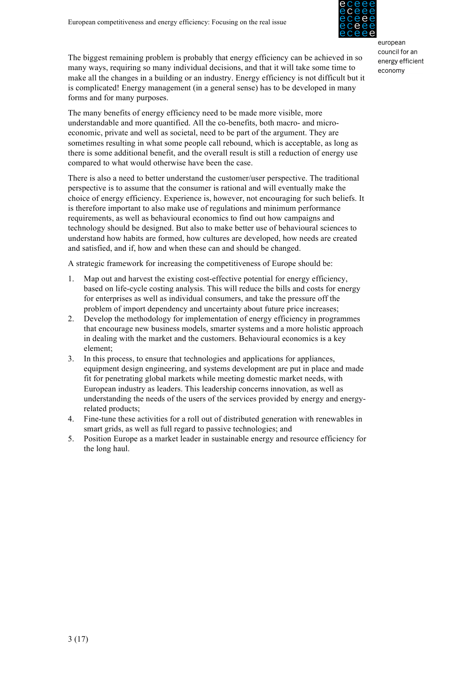

The biggest remaining problem is probably that energy efficiency can be achieved in so many ways, requiring so many individual decisions, and that it will take some time to make all the changes in a building or an industry. Energy efficiency is not difficult but it is complicated! Energy management (in a general sense) has to be developed in many forms and for many purposes.

The many benefits of energy efficiency need to be made more visible, more understandable and more quantified. All the co-benefits, both macro- and microeconomic, private and well as societal, need to be part of the argument. They are sometimes resulting in what some people call rebound, which is acceptable, as long as there is some additional benefit, and the overall result is still a reduction of energy use compared to what would otherwise have been the case.

There is also a need to better understand the customer/user perspective. The traditional perspective is to assume that the consumer is rational and will eventually make the choice of energy efficiency. Experience is, however, not encouraging for such beliefs. It is therefore important to also make use of regulations and minimum performance requirements, as well as behavioural economics to find out how campaigns and technology should be designed. But also to make better use of behavioural sciences to understand how habits are formed, how cultures are developed, how needs are created and satisfied, and if, how and when these can and should be changed.

A strategic framework for increasing the competitiveness of Europe should be:

- 1. Map out and harvest the existing cost-effective potential for energy efficiency, based on life-cycle costing analysis. This will reduce the bills and costs for energy for enterprises as well as individual consumers, and take the pressure off the problem of import dependency and uncertainty about future price increases;
- 2. Develop the methodology for implementation of energy efficiency in programmes that encourage new business models, smarter systems and a more holistic approach in dealing with the market and the customers. Behavioural economics is a key element;
- 3. In this process, to ensure that technologies and applications for appliances, equipment design engineering, and systems development are put in place and made fit for penetrating global markets while meeting domestic market needs, with European industry as leaders. This leadership concerns innovation, as well as understanding the needs of the users of the services provided by energy and energyrelated products;
- 4. Fine-tune these activities for a roll out of distributed generation with renewables in smart grids, as well as full regard to passive technologies; and
- 5. Position Europe as a market leader in sustainable energy and resource efficiency for the long haul.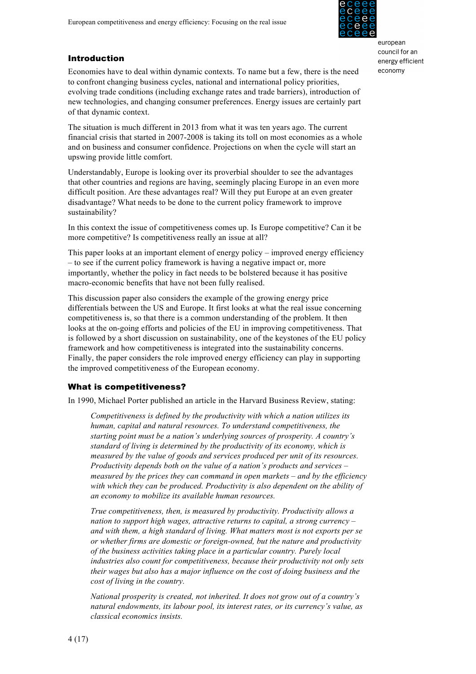

## Introduction

Economies have to deal within dynamic contexts. To name but a few, there is the need to confront changing business cycles, national and international policy priorities, evolving trade conditions (including exchange rates and trade barriers), introduction of new technologies, and changing consumer preferences. Energy issues are certainly part of that dynamic context.

The situation is much different in 2013 from what it was ten years ago. The current financial crisis that started in 2007-2008 is taking its toll on most economies as a whole and on business and consumer confidence. Projections on when the cycle will start an upswing provide little comfort.

Understandably, Europe is looking over its proverbial shoulder to see the advantages that other countries and regions are having, seemingly placing Europe in an even more difficult position. Are these advantages real? Will they put Europe at an even greater disadvantage? What needs to be done to the current policy framework to improve sustainability?

In this context the issue of competitiveness comes up. Is Europe competitive? Can it be more competitive? Is competitiveness really an issue at all?

This paper looks at an important element of energy policy – improved energy efficiency – to see if the current policy framework is having a negative impact or, more importantly, whether the policy in fact needs to be bolstered because it has positive macro-economic benefits that have not been fully realised.

This discussion paper also considers the example of the growing energy price differentials between the US and Europe. It first looks at what the real issue concerning competitiveness is, so that there is a common understanding of the problem. It then looks at the on-going efforts and policies of the EU in improving competitiveness. That is followed by a short discussion on sustainability, one of the keystones of the EU policy framework and how competitiveness is integrated into the sustainability concerns. Finally, the paper considers the role improved energy efficiency can play in supporting the improved competitiveness of the European economy.

## What is competitiveness?

In 1990, Michael Porter published an article in the Harvard Business Review, stating:

*Competitiveness is defined by the productivity with which a nation utilizes its human, capital and natural resources. To understand competitiveness, the starting point must be a nation's underlying sources of prosperity. A country's standard of living is determined by the productivity of its economy, which is measured by the value of goods and services produced per unit of its resources. Productivity depends both on the value of a nation's products and services – measured by the prices they can command in open markets – and by the efficiency with which they can be produced. Productivity is also dependent on the ability of an economy to mobilize its available human resources.*

*True competitiveness, then, is measured by productivity. Productivity allows a nation to support high wages, attractive returns to capital, a strong currency – and with them, a high standard of living. What matters most is not exports per se or whether firms are domestic or foreign-owned, but the nature and productivity of the business activities taking place in a particular country. Purely local industries also count for competitiveness, because their productivity not only sets their wages but also has a major influence on the cost of doing business and the cost of living in the country.*

*National prosperity is created, not inherited. It does not grow out of a country's natural endowments, its labour pool, its interest rates, or its currency's value, as classical economics insists.*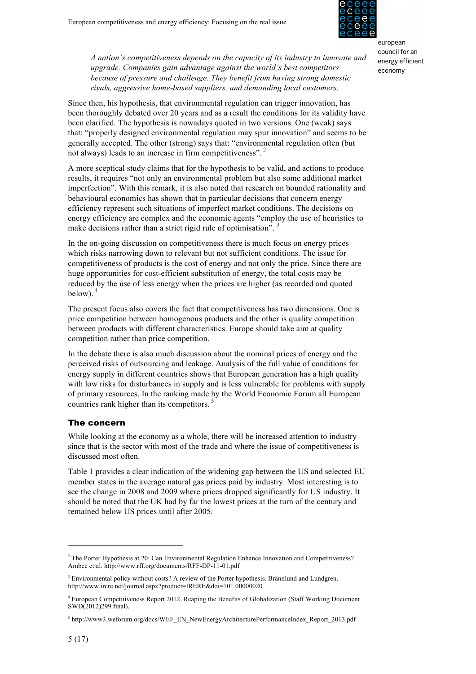

*A nation's competitiveness depends on the capacity of its industry to innovate and upgrade. Companies gain advantage against the world's best competitors because of pressure and challenge. They benefit from having strong domestic rivals, aggressive home-based suppliers, and demanding local customers.*

Since then, his hypothesis, that environmental regulation can trigger innovation, has been thoroughly debated over 20 years and as a result the conditions for its validity have been clarified. The hypothesis is nowadays quoted in two versions. One (weak) says that: "properly designed environmental regulation may spur innovation" and seems to be generally accepted. The other (strong) says that: "environmental regulation often (but not always) leads to an increase in firm competitiveness".<sup>2</sup>

A more sceptical study claims that for the hypothesis to be valid, and actions to produce results, it requires "not only an environmental problem but also some additional market imperfection". With this remark, it is also noted that research on bounded rationality and behavioural economics has shown that in particular decisions that concern energy efficiency represent such situations of imperfect market conditions. The decisions on energy efficiency are complex and the economic agents "employ the use of heuristics to make decisions rather than a strict rigid rule of optimisation".<sup>3</sup>

In the on-going discussion on competitiveness there is much focus on energy prices which risks narrowing down to relevant but not sufficient conditions. The issue for competitiveness of products is the cost of energy and not only the price. Since there are huge opportunities for cost-efficient substitution of energy, the total costs may be reduced by the use of less energy when the prices are higher (as recorded and quoted below). $4$ 

The present focus also covers the fact that competitiveness has two dimensions. One is price competition between homogenous products and the other is quality competition between products with different characteristics. Europe should take aim at quality competition rather than price competition.

In the debate there is also much discussion about the nominal prices of energy and the perceived risks of outsourcing and leakage. Analysis of the full value of conditions for energy supply in different countries shows that European generation has a high quality with low risks for disturbances in supply and is less vulnerable for problems with supply of primary resources. In the ranking made by the World Economic Forum all European countries rank higher than its competitors.

## The concern

While looking at the economy as a whole, there will be increased attention to industry since that is the sector with most of the trade and where the issue of competitiveness is discussed most often.

Table 1 provides a clear indication of the widening gap between the US and selected EU member states in the average natural gas prices paid by industry. Most interesting is to see the change in 2008 and 2009 where prices dropped significantly for US industry. It should be noted that the UK had by far the lowest prices at the turn of the century and remained below US prices until after 2005.

<sup>&</sup>lt;sup>2</sup> The Porter Hypothesis at 20: Can Environmental Regulation Enhance Innovation and Competitiveness? Ambec et.al. http://www.rff.org/documents/RFF-DP-11-01.pdf

<sup>&</sup>lt;sup>3</sup> Environmental policy without costs? A review of the Porter hypothesis. Brännlund and Lundgren. http://www.irere.net/journal.aspx?product=IRERE&doi=101.00000020

<sup>4</sup> European Competitiveness Report 2012, Reaping the Benefits of Globalization (Staff Working Document SWD(2012)299 final).

<sup>&</sup>lt;sup>5</sup> http://www3.weforum.org/docs/WEF\_EN\_NewEnergyArchitecturePerformanceIndex\_Report\_2013.pdf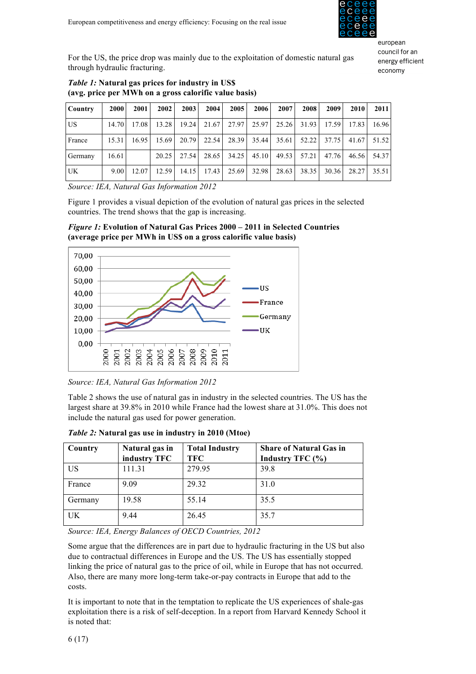

For the US, the price drop was mainly due to the exploitation of domestic natural gas through hydraulic fracturing.

| $\sim$ $\sigma$ $\sim$ |             |       |       |       |       |       |       |       |       |       |       |         |
|------------------------|-------------|-------|-------|-------|-------|-------|-------|-------|-------|-------|-------|---------|
| <b>Country</b>         | <b>2000</b> | 2001  | 2002  | 2003  | 2004  | 2005  | 2006  | 2007  | 2008  | 2009  | 2010  | 2011    |
| <b>US</b>              | 14.70       | 17.08 | 13.28 | 19.24 | 21.67 | 27.97 | 25.97 | 25.26 | 31.93 | 17.59 | 17.83 | 16.96   |
| France                 | 15.31       | 16.95 | 15.69 | 20.79 | 22.54 | 28.39 | 35.44 | 35.61 | 52.22 | 37.75 | 41.67 | 51.52   |
| Germany                | 16.61       |       | 20.25 | 27.54 | 28.65 | 34.25 | 45.10 | 49.53 | 57.21 | 47.76 | 46.56 | 54.37   |
| <b>UK</b>              | 9.00        | 12.07 | 12.59 | 14.15 | 17.43 | 25.69 | 32.98 | 28.63 | 38.35 | 30.36 | 28.27 | 35.51 L |

## *Table 1:* **Natural gas prices for industry in US\$ (avg. price per MWh on a gross calorific value basis)**

*Source: IEA, Natural Gas Information 2012*

Figure 1 provides a visual depiction of the evolution of natural gas prices in the selected countries. The trend shows that the gap is increasing.

*Figure 1:* **Evolution of Natural Gas Prices 2000 – 2011 in Selected Countries (average price per MWh in US\$ on a gross calorific value basis)**



*Source: IEA, Natural Gas Information 2012*

Table 2 shows the use of natural gas in industry in the selected countries. The US has the largest share at 39.8% in 2010 while France had the lowest share at 31.0%. This does not include the natural gas used for power generation.

| Country   | Natural gas in<br>industry TFC | <b>Total Industry</b><br><b>TFC</b> | <b>Share of Natural Gas in</b><br>Industry TFC (%) |
|-----------|--------------------------------|-------------------------------------|----------------------------------------------------|
| US        | 111.31                         | 279.95                              | 39.8                                               |
| France    | 9.09                           | 29.32                               | 31.0                                               |
| Germany   | 19.58                          | 55.14                               | 35.5                                               |
| <b>UK</b> | 9.44                           | 26.45                               | 35.7                                               |

*Table 2:* **Natural gas use in industry in 2010 (Mtoe)**

*Source: IEA, Energy Balances of OECD Countries, 2012*

Some argue that the differences are in part due to hydraulic fracturing in the US but also due to contractual differences in Europe and the US. The US has essentially stopped linking the price of natural gas to the price of oil, while in Europe that has not occurred. Also, there are many more long-term take-or-pay contracts in Europe that add to the costs.

It is important to note that in the temptation to replicate the US experiences of shale-gas exploitation there is a risk of self-deception. In a report from Harvard Kennedy School it is noted that: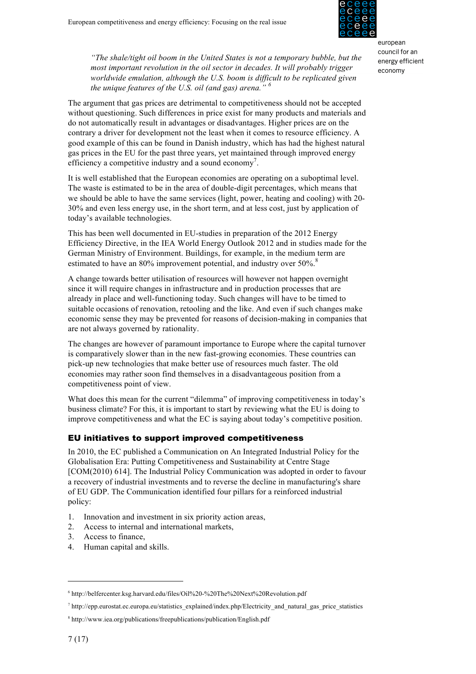

*"The shale/tight oil boom in the United States is not a temporary bubble, but the most important revolution in the oil sector in decades. It will probably trigger worldwide emulation, although the U.S. boom is difficult to be replicated given the unique features of the U.S. oil (and gas) arena." <sup>6</sup>*

The argument that gas prices are detrimental to competitiveness should not be accepted without questioning. Such differences in price exist for many products and materials and do not automatically result in advantages or disadvantages. Higher prices are on the contrary a driver for development not the least when it comes to resource efficiency. A good example of this can be found in Danish industry, which has had the highest natural gas prices in the EU for the past three years, yet maintained through improved energy efficiency a competitive industry and a sound economy<sup>7</sup>.

It is well established that the European economies are operating on a suboptimal level. The waste is estimated to be in the area of double-digit percentages, which means that we should be able to have the same services (light, power, heating and cooling) with 20- 30% and even less energy use, in the short term, and at less cost, just by application of today's available technologies.

This has been well documented in EU-studies in preparation of the 2012 Energy Efficiency Directive, in the IEA World Energy Outlook 2012 and in studies made for the German Ministry of Environment. Buildings, for example, in the medium term are estimated to have an 80% improvement potential, and industry over 50%.<sup>8</sup>

A change towards better utilisation of resources will however not happen overnight since it will require changes in infrastructure and in production processes that are already in place and well-functioning today. Such changes will have to be timed to suitable occasions of renovation, retooling and the like. And even if such changes make economic sense they may be prevented for reasons of decision-making in companies that are not always governed by rationality.

The changes are however of paramount importance to Europe where the capital turnover is comparatively slower than in the new fast-growing economies. These countries can pick-up new technologies that make better use of resources much faster. The old economies may rather soon find themselves in a disadvantageous position from a competitiveness point of view.

What does this mean for the current "dilemma" of improving competitiveness in today's business climate? For this, it is important to start by reviewing what the EU is doing to improve competitiveness and what the EC is saying about today's competitive position.

## EU initiatives to support improved competitiveness

In 2010, the EC published a Communication on An Integrated Industrial Policy for the Globalisation Era: Putting Competitiveness and Sustainability at Centre Stage [COM(2010) 614]. The Industrial Policy Communication was adopted in order to favour a recovery of industrial investments and to reverse the decline in manufacturing's share of EU GDP. The Communication identified four pillars for a reinforced industrial policy:

- 1. Innovation and investment in six priority action areas,
- 2. Access to internal and international markets,
- 3. Access to finance,
- 4. Human capital and skills.

<sup>6</sup> http://belfercenter.ksg.harvard.edu/files/Oil%20-%20The%20Next%20Revolution.pdf

 $^7$  http://epp.eurostat.ec.europa.eu/statistics\_explained/index.php/Electricity\_and\_natural\_gas\_price\_statistics

<sup>8</sup> http://www.iea.org/publications/freepublications/publication/English.pdf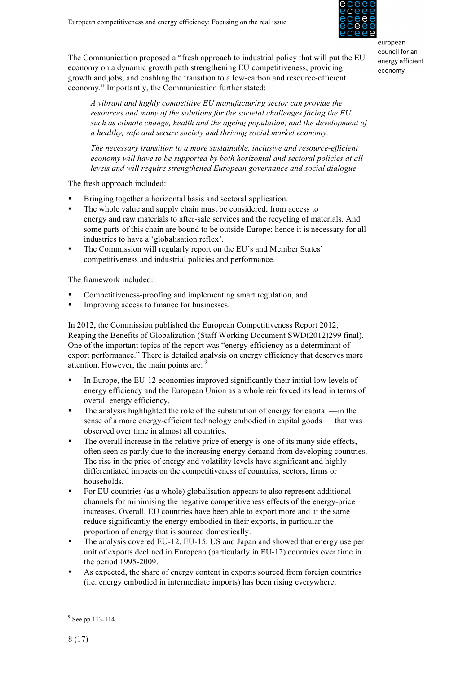

The Communication proposed a "fresh approach to industrial policy that will put the EU economy on a dynamic growth path strengthening EU competitiveness, providing growth and jobs, and enabling the transition to a low-carbon and resource-efficient economy." Importantly, the Communication further stated:

*A vibrant and highly competitive EU manufacturing sector can provide the resources and many of the solutions for the societal challenges facing the EU, such as climate change, health and the ageing population, and the development of a healthy, safe and secure society and thriving social market economy.*

*The necessary transition to a more sustainable, inclusive and resource-efficient economy will have to be supported by both horizontal and sectoral policies at all levels and will require strengthened European governance and social dialogue.*

The fresh approach included:

- Bringing together a horizontal basis and sectoral application.
- The whole value and supply chain must be considered, from access to energy and raw materials to after-sale services and the recycling of materials. And some parts of this chain are bound to be outside Europe; hence it is necessary for all industries to have a 'globalisation reflex'.
- The Commission will regularly report on the EU's and Member States' competitiveness and industrial policies and performance.

The framework included:

- Competitiveness-proofing and implementing smart regulation, and
- Improving access to finance for businesses.

In 2012, the Commission published the European Competitiveness Report 2012, Reaping the Benefits of Globalization (Staff Working Document SWD(2012)299 final). One of the important topics of the report was "energy efficiency as a determinant of export performance." There is detailed analysis on energy efficiency that deserves more attention. However, the main points are: 9

- In Europe, the EU-12 economies improved significantly their initial low levels of energy efficiency and the European Union as a whole reinforced its lead in terms of overall energy efficiency.
- The analysis highlighted the role of the substitution of energy for capital —in the sense of a more energy-efficient technology embodied in capital goods — that was observed over time in almost all countries.
- The overall increase in the relative price of energy is one of its many side effects, often seen as partly due to the increasing energy demand from developing countries. The rise in the price of energy and volatility levels have significant and highly differentiated impacts on the competitiveness of countries, sectors, firms or households.
- For EU countries (as a whole) globalisation appears to also represent additional channels for minimising the negative competitiveness effects of the energy-price increases. Overall, EU countries have been able to export more and at the same reduce significantly the energy embodied in their exports, in particular the proportion of energy that is sourced domestically.
- The analysis covered EU-12, EU-15, US and Japan and showed that energy use per unit of exports declined in European (particularly in EU-12) countries over time in the period 1995-2009.
- As expected, the share of energy content in exports sourced from foreign countries (i.e. energy embodied in intermediate imports) has been rising everywhere.

 $9$  See pp.113-114.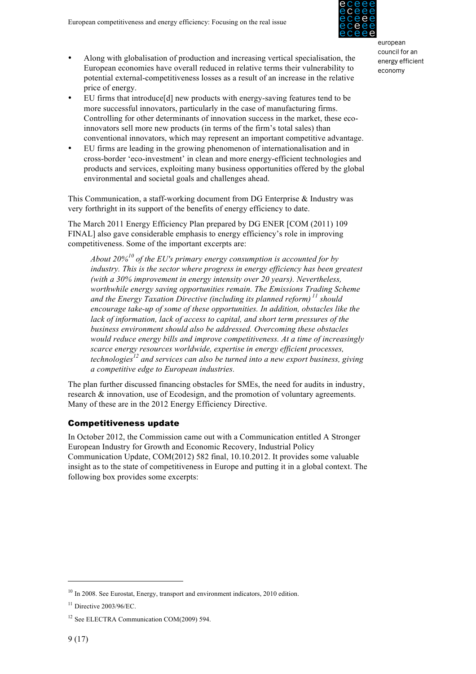- Along with globalisation of production and increasing vertical specialisation, the European economies have overall reduced in relative terms their vulnerability to potential external-competitiveness losses as a result of an increase in the relative price of energy.
- EU firms that introduce[d] new products with energy-saving features tend to be more successful innovators, particularly in the case of manufacturing firms. Controlling for other determinants of innovation success in the market, these ecoinnovators sell more new products (in terms of the firm's total sales) than conventional innovators, which may represent an important competitive advantage.
- EU firms are leading in the growing phenomenon of internationalisation and in cross-border 'eco-investment' in clean and more energy-efficient technologies and products and services, exploiting many business opportunities offered by the global environmental and societal goals and challenges ahead.

This Communication, a staff-working document from DG Enterprise & Industry was very forthright in its support of the benefits of energy efficiency to date.

The March 2011 Energy Efficiency Plan prepared by DG ENER [COM (2011) 109 FINAL] also gave considerable emphasis to energy efficiency's role in improving competitiveness. Some of the important excerpts are:

*About 20%<sup>10</sup> of the EU's primary energy consumption is accounted for by industry. This is the sector where progress in energy efficiency has been greatest (with a 30% improvement in energy intensity over 20 years). Nevertheless, worthwhile energy saving opportunities remain. The Emissions Trading Scheme and the Energy Taxation Directive (including its planned reform) <sup>11</sup> should encourage take-up of some of these opportunities. In addition, obstacles like the lack of information, lack of access to capital, and short term pressures of the business environment should also be addressed. Overcoming these obstacles would reduce energy bills and improve competitiveness. At a time of increasingly scarce energy resources worldwide, expertise in energy efficient processes, technologies<sup>12</sup> and services can also be turned into a new export business, giving a competitive edge to European industries.*

The plan further discussed financing obstacles for SMEs, the need for audits in industry, research & innovation, use of Ecodesign, and the promotion of voluntary agreements. Many of these are in the 2012 Energy Efficiency Directive.

## Competitiveness update

In October 2012, the Commission came out with a Communication entitled A Stronger European Industry for Growth and Economic Recovery, Industrial Policy Communication Update, COM(2012) 582 final, 10.10.2012. It provides some valuable insight as to the state of competitiveness in Europe and putting it in a global context. The following box provides some excerpts:

 $\overline{a}$ 

european council for an energy efficient economy

 $10$  In 2008. See Eurostat, Energy, transport and environment indicators, 2010 edition.

 $11$  Directive 2003/96/EC.

<sup>&</sup>lt;sup>12</sup> See ELECTRA Communication COM(2009) 594.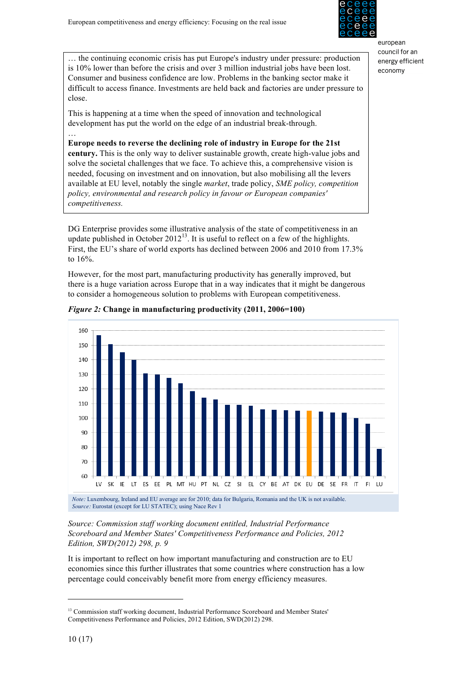

… the continuing economic crisis has put Europe's industry under pressure: production is 10% lower than before the crisis and over 3 million industrial jobs have been lost. Consumer and business confidence are low. Problems in the banking sector make it difficult to access finance. Investments are held back and factories are under pressure to close.

This is happening at a time when the speed of innovation and technological development has put the world on the edge of an industrial break-through.

**Europe needs to reverse the declining role of industry in Europe for the 21st century.** This is the only way to deliver sustainable growth, create high-value jobs and solve the societal challenges that we face. To achieve this, a comprehensive vision is needed, focusing on investment and on innovation, but also mobilising all the levers available at EU level, notably the single *market*, trade policy, *SME policy, competition policy, environmental and research policy in favour or European companies' competitiveness.*

DG Enterprise provides some illustrative analysis of the state of competitiveness in an update published in October  $2012^{13}$ . It is useful to reflect on a few of the highlights. First, the EU's share of world exports has declined between 2006 and 2010 from 17.3% to 16%.

However, for the most part, manufacturing productivity has generally improved, but there is a huge variation across Europe that in a way indicates that it might be dangerous to consider a homogeneous solution to problems with European competitiveness.





Source: Commission staff working document entitled, Industrial Performance<br>
attainment of the into the many of the many of the into the second them in the second them in the second them i *Scoreboard and Member States' Competitiveness Performance and Policies, 2012 Edition, SWD(2012) 298, p. 9*

It is important to reflect on how important manufacturing and construction are to EU economies since this further illustrates that some countries where construction has a low percentage could conceivably benefit more from energy efficiency measures.

 $\overline{a}$ 

…

<sup>&</sup>lt;sup>13</sup> Commission staff working document, Industrial Performance Scoreboard and Member States' Competitiveness Performance and Policies, 2012 Edition, SWD(2012) 298.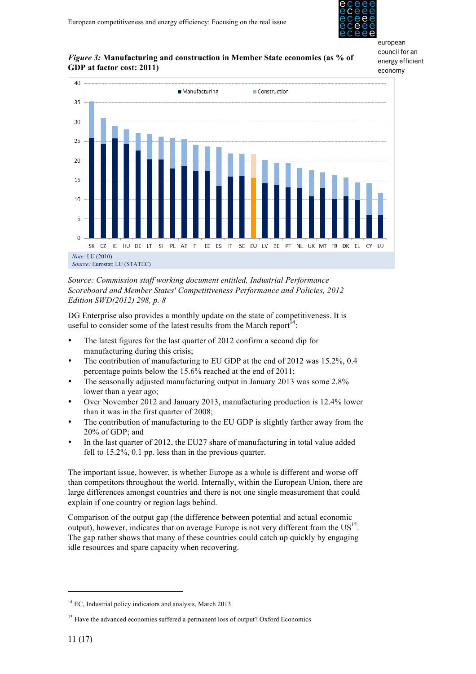

european council for an

## *Figure 3:* Manufacturing and construction in Member State economies (as % of GDP at factor cost: 2011). **GDP at factor cost: 2011) cost; 2011)**



*Source: Commission staff working document entitled, Industrial Performance*  Scoreboard and Member States' Competitiveness Performance and Policies, 2012 *Edition SWD(2012) 298, p. 8*

DG Enterprise also provides a monthly update on the state of competitiveness. It is useful to consider some of the latest results from the March report<sup>14</sup>:

- The latest figures for the last quarter of 2012 confirm a second dip for manufacturing during this crisis;
- The contribution of manufacturing to EU GDP at the end of 2012 was 15.2%, 0.4 percentage points below the 15.6% reached at the end of 2011;
- The seasonally adjusted manufacturing output in January 2013 was some 2.8% lower than a year ago;
- Over November 2012 and January 2013, manufacturing production is 12.4% lower than it was in the first quarter of 2008;
- The contribution of manufacturing to the EU GDP is slightly farther away from the 20% of GDP; and
- In the last quarter of 2012, the EU27 share of manufacturing in total value added fell to 15.2%, 0.1 pp. less than in the previous quarter.

The important issue, however, is whether Europe as a whole is different and worse off than competitors throughout the world. Internally, within the European Union, there are large differences amongst countries and there is not one single measurement that could explain if one country or region lags behind.

Comparison of the output gap (the difference between potential and actual economic output), however, indicates that on average Europe is not very different from the  $US<sup>15</sup>$ . The gap rather shows that many of these countries could catch up quickly by engaging idle resources and spare capacity when recovering.

<sup>&</sup>lt;sup>14</sup> EC, Industrial policy indicators and analysis, March 2013.

<sup>&</sup>lt;sup>15</sup> Have the advanced economies suffered a permanent loss of output? Oxford Economics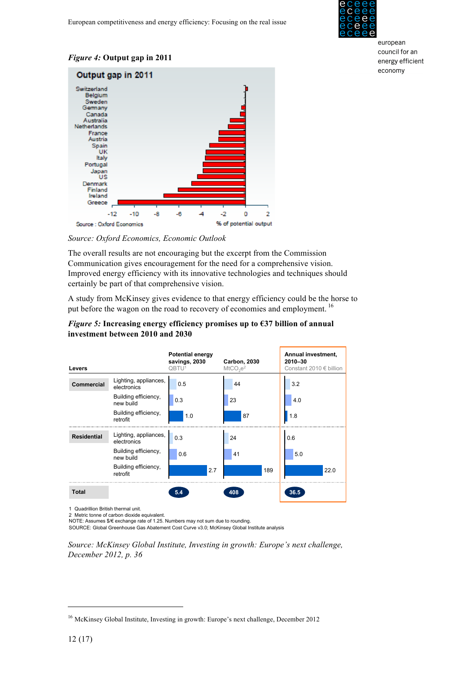

## *Figure 4:* **Output gap in 2011**



Source: Oxford Economics, Economic Outlook

The overall results are not encouraging but the excerpt from the Commission Communication gives encouragement for the need for a comprehensive vision. Improved energy efficiency with its innovative technologies and techniques should certainly be part of that comprehensive vision.

A study from McKinsey gives evidence to that energy efficiency could be the horse to put before the wagon on the road to recovery of economies and employment.<sup>16</sup>

#### *Figure 5:* **Increasing energy efficiency promises up to €37 billion of annual investment between 2010 and 2030 investment between 2010 and 2030 I** igure 3. Increasing energy efficiency promises up to €37 billion of a

| Levers             |                                      | <b>Potential energy</b><br>savings, 2030<br>QBTU <sup>1</sup> | <b>Carbon, 2030</b><br>$M2CO3e2$ | Annual investment,<br>2010-30<br>Constant 2010 $\in$ billion |
|--------------------|--------------------------------------|---------------------------------------------------------------|----------------------------------|--------------------------------------------------------------|
| <b>Commercial</b>  | Lighting, appliances,<br>electronics | 0.5                                                           | 44                               | 3.2                                                          |
|                    | Building efficiency,<br>new build    | 0.3                                                           | 23                               | 4.0                                                          |
|                    | Building efficiency,<br>retrofit     | 1.0                                                           | 87                               | 1.8                                                          |
| <b>Residential</b> | Lighting, appliances,<br>electronics | 0.3                                                           | 24                               | 0.6                                                          |
|                    | Building efficiency,<br>new build    | 0.6                                                           | 41                               | 5.0                                                          |
|                    | Building efficiency,<br>retrofit     | 2.7                                                           | 189                              | 22.0                                                         |
| <b>Total</b>       |                                      | 5.4                                                           | 408                              | 36.5                                                         |

1 Quadrillion British thermal unit

2 Metric tonne of carbon dioxide equivalent.

NOTE: Assumes \$/€ exchange rate of 1.25. Numbers may not sum due to rounding.

SOURCE: Global Greenhouse Gas Abatement Cost Curve v3.0; McKinsey Global Institute analysis

*Source: McKinsey Global Institute, Investing in growth: Europe's next challenge, December 2012, p. 36*

<sup>16</sup> McKinsey Global Institute, Investing in growth: Europe's next challenge, December 2012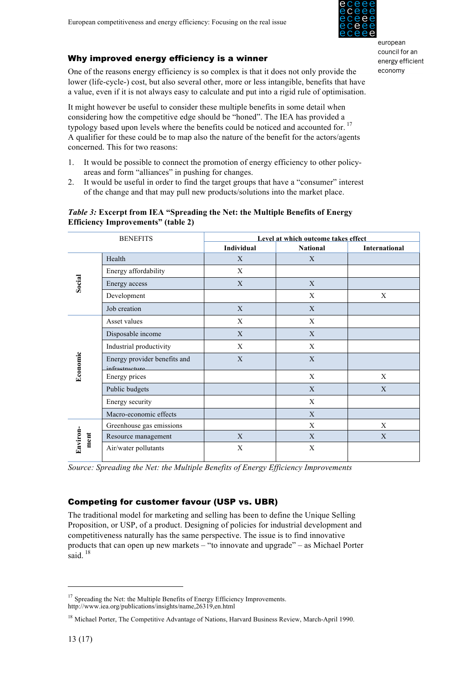

## Why improved energy efficiency is a winner

One of the reasons energy efficiency is so complex is that it does not only provide the lower (life-cycle-) cost, but also several other, more or less intangible, benefits that have a value, even if it is not always easy to calculate and put into a rigid rule of optimisation.

It might however be useful to consider these multiple benefits in some detail when considering how the competitive edge should be "honed". The IEA has provided a typology based upon levels where the benefits could be noticed and accounted for.<sup>17</sup> A qualifier for these could be to map also the nature of the benefit for the actors/agents concerned. This for two reasons:

- 1. It would be possible to connect the promotion of energy efficiency to other policyareas and form "alliances" in pushing for changes.
- 2. It would be useful in order to find the target groups that have a "consumer" interest of the change and that may pull new products/solutions into the market place.

## *Table 3:* **Excerpt from IEA "Spreading the Net: the Multiple Benefits of Energy Efficiency Improvements" (table 2)**

| <b>BENEFITS</b>  |                                                | Level at which outcome takes effect |                 |               |  |  |  |
|------------------|------------------------------------------------|-------------------------------------|-----------------|---------------|--|--|--|
|                  |                                                | Individual                          | <b>National</b> | International |  |  |  |
| Social           | Health                                         | X                                   | X               |               |  |  |  |
|                  | Energy affordability                           | X                                   |                 |               |  |  |  |
|                  | Energy access                                  | X                                   | X               |               |  |  |  |
|                  | Development                                    |                                     | X               | X             |  |  |  |
|                  | Job creation                                   | X                                   | X               |               |  |  |  |
| Economic         | Asset values                                   | X                                   | X               |               |  |  |  |
|                  | Disposable income                              | X                                   | X               |               |  |  |  |
|                  | Industrial productivity                        | X                                   | X               |               |  |  |  |
|                  | Energy provider benefits and<br>infrastructure | X                                   | X               |               |  |  |  |
|                  | Energy prices                                  |                                     | X               | X             |  |  |  |
|                  | Public budgets                                 |                                     | X               | X             |  |  |  |
|                  | Energy security                                |                                     | X               |               |  |  |  |
|                  | Macro-economic effects                         |                                     | X               |               |  |  |  |
| Environ-<br>ment | Greenhouse gas emissions                       |                                     | X               | X             |  |  |  |
|                  | Resource management                            | X                                   | X               | X             |  |  |  |
|                  | Air/water pollutants                           | X                                   | X               |               |  |  |  |

*Source: Spreading the Net: the Multiple Benefits of Energy Efficiency Improvements*

## Competing for customer favour (USP vs. UBR)

The traditional model for marketing and selling has been to define the Unique Selling Proposition, or USP, of a product. Designing of policies for industrial development and competitiveness naturally has the same perspective. The issue is to find innovative products that can open up new markets – "to innovate and upgrade" – as Michael Porter said.  $18$ 

<sup>&</sup>lt;sup>17</sup> Spreading the Net: the Multiple Benefits of Energy Efficiency Improvements. http://www.iea.org/publications/insights/name,26319,en.html

<sup>&</sup>lt;sup>18</sup> Michael Porter, The Competitive Advantage of Nations, Harvard Business Review, March-April 1990.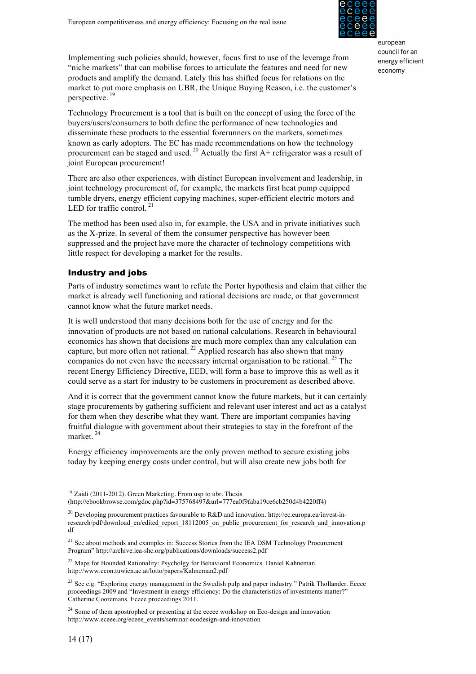

Implementing such policies should, however, focus first to use of the leverage from "niche markets" that can mobilise forces to articulate the features and need for new products and amplify the demand. Lately this has shifted focus for relations on the market to put more emphasis on UBR, the Unique Buying Reason, i.e. the customer's perspective. <sup>19</sup>

Technology Procurement is a tool that is built on the concept of using the force of the buyers/users/consumers to both define the performance of new technologies and disseminate these products to the essential forerunners on the markets, sometimes known as early adopters. The EC has made recommendations on how the technology procurement can be staged and used.<sup>20</sup> Actually the first  $A+$  refrigerator was a result of joint European procurement!

There are also other experiences, with distinct European involvement and leadership, in joint technology procurement of, for example, the markets first heat pump equipped tumble dryers, energy efficient copying machines, super-efficient electric motors and LED for traffic control.<sup>21</sup>

The method has been used also in, for example, the USA and in private initiatives such as the X-prize. In several of them the consumer perspective has however been suppressed and the project have more the character of technology competitions with little respect for developing a market for the results.

## Industry and jobs

Parts of industry sometimes want to refute the Porter hypothesis and claim that either the market is already well functioning and rational decisions are made, or that government cannot know what the future market needs.

It is well understood that many decisions both for the use of energy and for the innovation of products are not based on rational calculations. Research in behavioural economics has shown that decisions are much more complex than any calculation can capture, but more often not rational.<sup>22</sup> Applied research has also shown that many companies do not even have the necessary internal organisation to be rational.  $^{23}$  The recent Energy Efficiency Directive, EED, will form a base to improve this as well as it could serve as a start for industry to be customers in procurement as described above.

And it is correct that the government cannot know the future markets, but it can certainly stage procurements by gathering sufficient and relevant user interest and act as a catalyst for them when they describe what they want. There are important companies having fruitful dialogue with government about their strategies to stay in the forefront of the market<sup>24</sup>

Energy efficiency improvements are the only proven method to secure existing jobs today by keeping energy costs under control, but will also create new jobs both for

<sup>&</sup>lt;sup>19</sup> Zaidi (2011-2012). Green Marketing. From usp to ubr. Thesis

<sup>(</sup>http://ebookbrowse.com/gdoc.php?id=375768497&url=777ea0f9faba19ce6cb250d4b4220ff4)

<sup>&</sup>lt;sup>20</sup> Developing procurement practices favourable to R&D and innovation. http://ec.europa.eu/invest-inresearch/pdf/download\_en/edited\_report\_18112005\_on\_public\_procurement\_for\_research\_and\_innovation.p df

<sup>&</sup>lt;sup>21</sup> See about methods and examples in: Success Stories from the IEA DSM Technology Procurement Program" http://archive.iea-shc.org/publications/downloads/success2.pdf

<sup>&</sup>lt;sup>22</sup> Maps for Bounded Rationality: Psycholgy for Behavioral Economics. Daniel Kahneman. http://www.econ.tuwien.ac.at/lotto/papers/Kahneman2.pdf

<sup>&</sup>lt;sup>23</sup> See e.g. "Exploring energy management in the Swedish pulp and paper industry." Patrik Thollander. Eceee proceedings 2009 and "Investment in energy efficiency: Do the characteristics of investments matter?" Catherine Cooremans. Eceee proceedings 2011.

<sup>&</sup>lt;sup>24</sup> Some of them apostrophed or presenting at the eceee workshop on Eco-design and innovation http://www.eceee.org/eceee\_events/seminar-ecodesign-and-innovation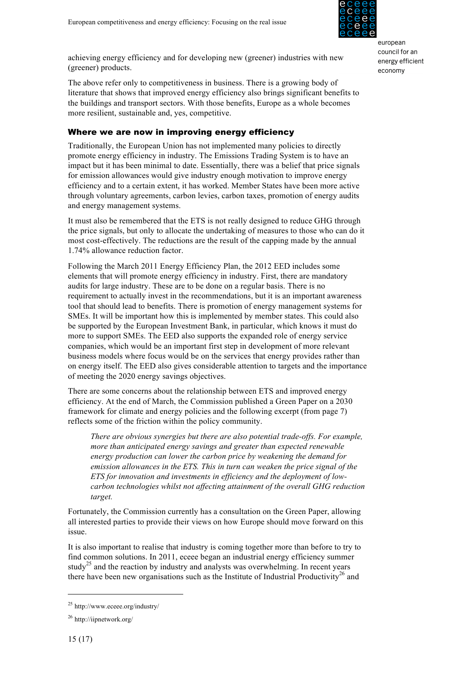

achieving energy efficiency and for developing new (greener) industries with new (greener) products.

The above refer only to competitiveness in business. There is a growing body of literature that shows that improved energy efficiency also brings significant benefits to the buildings and transport sectors. With those benefits, Europe as a whole becomes more resilient, sustainable and, yes, competitive.

## Where we are now in improving energy efficiency

Traditionally, the European Union has not implemented many policies to directly promote energy efficiency in industry. The Emissions Trading System is to have an impact but it has been minimal to date. Essentially, there was a belief that price signals for emission allowances would give industry enough motivation to improve energy efficiency and to a certain extent, it has worked. Member States have been more active through voluntary agreements, carbon levies, carbon taxes, promotion of energy audits and energy management systems.

It must also be remembered that the ETS is not really designed to reduce GHG through the price signals, but only to allocate the undertaking of measures to those who can do it most cost-effectively. The reductions are the result of the capping made by the annual 1.74% allowance reduction factor.

Following the March 2011 Energy Efficiency Plan, the 2012 EED includes some elements that will promote energy efficiency in industry. First, there are mandatory audits for large industry. These are to be done on a regular basis. There is no requirement to actually invest in the recommendations, but it is an important awareness tool that should lead to benefits. There is promotion of energy management systems for SMEs. It will be important how this is implemented by member states. This could also be supported by the European Investment Bank, in particular, which knows it must do more to support SMEs. The EED also supports the expanded role of energy service companies, which would be an important first step in development of more relevant business models where focus would be on the services that energy provides rather than on energy itself. The EED also gives considerable attention to targets and the importance of meeting the 2020 energy savings objectives.

There are some concerns about the relationship between ETS and improved energy efficiency. At the end of March, the Commission published a Green Paper on a 2030 framework for climate and energy policies and the following excerpt (from page 7) reflects some of the friction within the policy community.

*There are obvious synergies but there are also potential trade-offs. For example, more than anticipated energy savings and greater than expected renewable energy production can lower the carbon price by weakening the demand for emission allowances in the ETS. This in turn can weaken the price signal of the ETS for innovation and investments in efficiency and the deployment of lowcarbon technologies whilst not affecting attainment of the overall GHG reduction target.*

Fortunately, the Commission currently has a consultation on the Green Paper, allowing all interested parties to provide their views on how Europe should move forward on this issue.

It is also important to realise that industry is coming together more than before to try to find common solutions. In 2011, eceee began an industrial energy efficiency summer study<sup>25</sup> and the reaction by industry and analysts was overwhelming. In recent years there have been new organisations such as the Institute of Industrial Productivity<sup>26</sup> and

<sup>25</sup> http://www.eceee.org/industry/

<sup>26</sup> http://iipnetwork.org/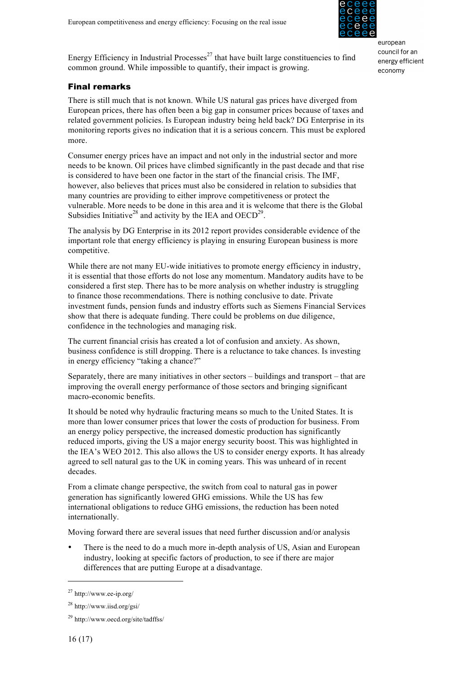

Energy Efficiency in Industrial Processes<sup>27</sup> that have built large constituencies to find common ground. While impossible to quantify, their impact is growing.

## Final remarks

There is still much that is not known. While US natural gas prices have diverged from European prices, there has often been a big gap in consumer prices because of taxes and related government policies. Is European industry being held back? DG Enterprise in its monitoring reports gives no indication that it is a serious concern. This must be explored more.

Consumer energy prices have an impact and not only in the industrial sector and more needs to be known. Oil prices have climbed significantly in the past decade and that rise is considered to have been one factor in the start of the financial crisis. The IMF, however, also believes that prices must also be considered in relation to subsidies that many countries are providing to either improve competitiveness or protect the vulnerable. More needs to be done in this area and it is welcome that there is the Global Subsidies Initiative<sup>28</sup> and activity by the IEA and OECD<sup>29</sup>.

The analysis by DG Enterprise in its 2012 report provides considerable evidence of the important role that energy efficiency is playing in ensuring European business is more competitive.

While there are not many EU-wide initiatives to promote energy efficiency in industry, it is essential that those efforts do not lose any momentum. Mandatory audits have to be considered a first step. There has to be more analysis on whether industry is struggling to finance those recommendations. There is nothing conclusive to date. Private investment funds, pension funds and industry efforts such as Siemens Financial Services show that there is adequate funding. There could be problems on due diligence, confidence in the technologies and managing risk.

The current financial crisis has created a lot of confusion and anxiety. As shown, business confidence is still dropping. There is a reluctance to take chances. Is investing in energy efficiency "taking a chance?"

Separately, there are many initiatives in other sectors – buildings and transport – that are improving the overall energy performance of those sectors and bringing significant macro-economic benefits.

It should be noted why hydraulic fracturing means so much to the United States. It is more than lower consumer prices that lower the costs of production for business. From an energy policy perspective, the increased domestic production has significantly reduced imports, giving the US a major energy security boost. This was highlighted in the IEA's WEO 2012. This also allows the US to consider energy exports. It has already agreed to sell natural gas to the UK in coming years. This was unheard of in recent decades.

From a climate change perspective, the switch from coal to natural gas in power generation has significantly lowered GHG emissions. While the US has few international obligations to reduce GHG emissions, the reduction has been noted internationally.

Moving forward there are several issues that need further discussion and/or analysis

• There is the need to do a much more in-depth analysis of US, Asian and European industry, looking at specific factors of production, to see if there are major differences that are putting Europe at a disadvantage.

 $^{27}$  http://www.ee-ip.org/

<sup>28</sup> http://www.iisd.org/gsi/

<sup>29</sup> http://www.oecd.org/site/tadffss/